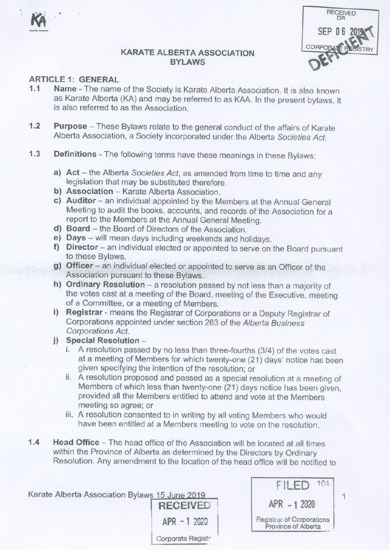



# **ARTICLE 1: GENERAL**

- Name The name of the Society is Karate Alberta Association. It is also known  $1.1$ as Karate Alberta (KA) and may be referred to as KAA. In the present bylaws, it is also referred to as the Association.
- $1.2$ Purpose - These Bylaws relate to the general conduct of the affairs of Karate Alberta Association, a Society incorporated under the Alberta Societies Act.
- $1.3$ Definitions - The following terms have these meanings in these Bylaws:
	- a) Act the Alberta Societies Act, as amended from time to time and any legislation that may be substituted therefore.
	- b) Association Karate Alberta Association.
	- c) Auditor an individual appointed by the Members at the Annual General Meeting to audit the books, accounts, and records of the Association for a report to the Members at the Annual General Meeting.
	- d) Board the Board of Directors of the Association.
	- e) Days will mean days including weekends and holidays.
	- f) Director an individual elected or appointed to serve on the Board pursuant to these Bylaws.
	- g) Officer an individual elected or appointed to serve as an Officer of the Association pursuant to these Bylaws.
	- h) Ordinary Resolution a resolution passed by not less than a majority of the votes cast at a meeting of the Board, meeting of the Executive, meeting of a Committee, or a meeting of Members.
	- i) Registrar means the Registrar of Corporations or a Deputy Registrar of Corporations appointed under section 263 of the Alberta Business Corporations Act.
	- i) Special Resolution
		- i. A resolution passed by no less than three-fourths (3/4) of the votes cast at a meeting of Members for which twenty-one (21) days' notice has been given specifying the intention of the resolution; or
		- ii. A resolution proposed and passed as a special resolution at a meeting of Members of which less than twenty-one (21) days notice has been given, provided all the Members entitled to attend and vote at the Members meeting so agree; or
		- iii. A resolution consented to in writing by all voting Members who would have been entitled at a Members meeting to vote on the resolution.
- Head Office The head office of the Association will be located at all times  $1.4$ within the Province of Alberta as determined by the Directors by Ordinary Resolution. Any amendment to the location of the head office will be notified to

 $APR - 12020$ 

Corporate Registr

| Karate Alberta Association Bylaws 15 June 2019 |  |                 |
|------------------------------------------------|--|-----------------|
|                                                |  | <b>RECEIVED</b> |

| $-1$                                             |
|--------------------------------------------------|
| $APR - 12020$                                    |
| Registrar of Corporations<br>Province of Alberta |

 $\mathbf{1}$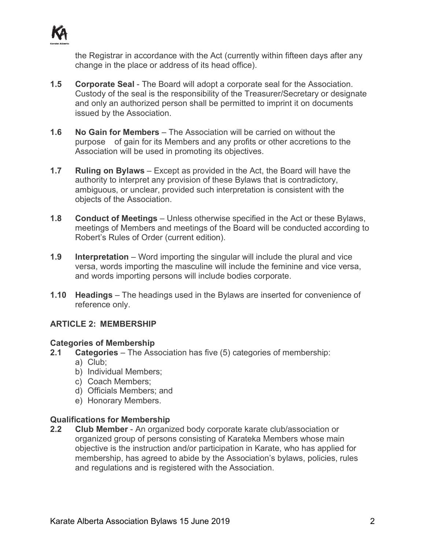

the Registrar in accordance with the Act (currently within fifteen days after any change in the place or address of its head office).

- **1.5 Corporate Seal** The Board will adopt a corporate seal for the Association. Custody of the seal is the responsibility of the Treasurer/Secretary or designate and only an authorized person shall be permitted to imprint it on documents issued by the Association.
- **1.6 No Gain for Members** The Association will be carried on without the purpose of gain for its Members and any profits or other accretions to the Association will be used in promoting its objectives.
- **1.7 Ruling on Bylaws** Except as provided in the Act, the Board will have the authority to interpret any provision of these Bylaws that is contradictory, ambiguous, or unclear, provided such interpretation is consistent with the objects of the Association.
- **1.8 Conduct of Meetings** Unless otherwise specified in the Act or these Bylaws, meetings of Members and meetings of the Board will be conducted according to Robert's Rules of Order (current edition).
- **1.9 Interpretation** Word importing the singular will include the plural and vice versa, words importing the masculine will include the feminine and vice versa, and words importing persons will include bodies corporate.
- **1.10 Headings** The headings used in the Bylaws are inserted for convenience of reference only.

# **ARTICLE 2: MEMBERSHIP**

# **Categories of Membership**

- **2.1 Categories** The Association has five (5) categories of membership:
	- a) Club;
	- b) Individual Members;
	- c) Coach Members;
	- d) Officials Members; and
	- e) Honorary Members.

# **Qualifications for Membership**

**2.2 Club Member** - An organized body corporate karate club/association or organized group of persons consisting of Karateka Members whose main objective is the instruction and/or participation in Karate, who has applied for membership, has agreed to abide by the Association's bylaws, policies, rules and regulations and is registered with the Association.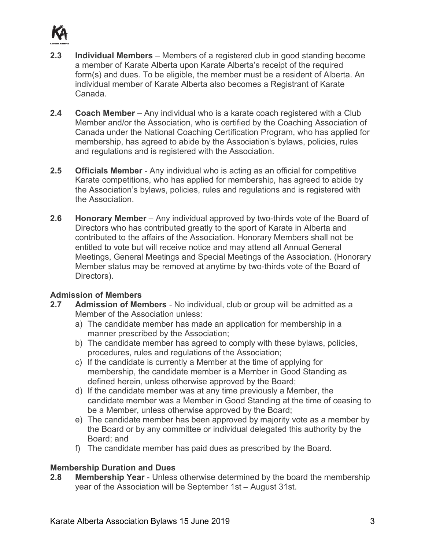

- **2.3 Individual Members** Members of a registered club in good standing become a member of Karate Alberta upon Karate Alberta's receipt of the required form(s) and dues. To be eligible, the member must be a resident of Alberta. An individual member of Karate Alberta also becomes a Registrant of Karate Canada.
- **2.4 Coach Member** Any individual who is a karate coach registered with a Club Member and/or the Association, who is certified by the Coaching Association of Canada under the National Coaching Certification Program, who has applied for membership, has agreed to abide by the Association's bylaws, policies, rules and regulations and is registered with the Association.
- **2.5 Officials Member** Any individual who is acting as an official for competitive Karate competitions, who has applied for membership, has agreed to abide by the Association's bylaws, policies, rules and regulations and is registered with the Association.
- **2.6 Honorary Member** Any individual approved by two-thirds vote of the Board of Directors who has contributed greatly to the sport of Karate in Alberta and contributed to the affairs of the Association. Honorary Members shall not be entitled to vote but will receive notice and may attend all Annual General Meetings, General Meetings and Special Meetings of the Association. (Honorary Member status may be removed at anytime by two-thirds vote of the Board of Directors).

# **Admission of Members**

- **2.7 Admission of Members** No individual, club or group will be admitted as a Member of the Association unless:
	- a) The candidate member has made an application for membership in a manner prescribed by the Association;
	- b) The candidate member has agreed to comply with these bylaws, policies, procedures, rules and regulations of the Association;
	- c) If the candidate is currently a Member at the time of applying for membership, the candidate member is a Member in Good Standing as defined herein, unless otherwise approved by the Board;
	- d) If the candidate member was at any time previously a Member, the candidate member was a Member in Good Standing at the time of ceasing to be a Member, unless otherwise approved by the Board;
	- e) The candidate member has been approved by majority vote as a member by the Board or by any committee or individual delegated this authority by the Board; and
	- f) The candidate member has paid dues as prescribed by the Board.

# **Membership Duration and Dues**

**2.8 Membership Year** - Unless otherwise determined by the board the membership year of the Association will be September 1st – August 31st.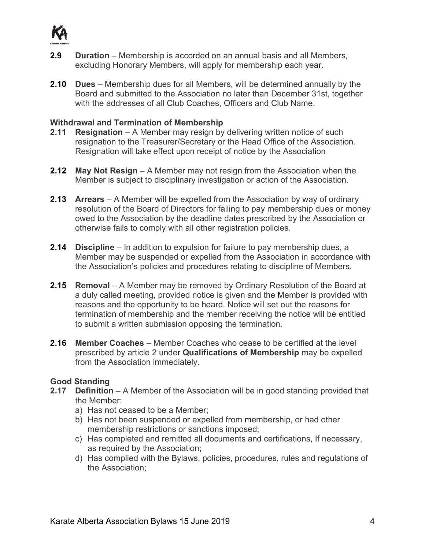

- **2.9 Duration** Membership is accorded on an annual basis and all Members, excluding Honorary Members, will apply for membership each year.
- **2.10 Dues** Membership dues for all Members, will be determined annually by the Board and submitted to the Association no later than December 31st, together with the addresses of all Club Coaches, Officers and Club Name.

### **Withdrawal and Termination of Membership**

- **2.11 Resignation** A Member may resign by delivering written notice of such resignation to the Treasurer/Secretary or the Head Office of the Association. Resignation will take effect upon receipt of notice by the Association
- **2.12 May Not Resign** A Member may not resign from the Association when the Member is subject to disciplinary investigation or action of the Association.
- **2.13 Arrears** A Member will be expelled from the Association by way of ordinary resolution of the Board of Directors for failing to pay membership dues or money owed to the Association by the deadline dates prescribed by the Association or otherwise fails to comply with all other registration policies.
- **2.14 Discipline** In addition to expulsion for failure to pay membership dues, a Member may be suspended or expelled from the Association in accordance with the Association's policies and procedures relating to discipline of Members.
- **2.15 Removal** A Member may be removed by Ordinary Resolution of the Board at a duly called meeting, provided notice is given and the Member is provided with reasons and the opportunity to be heard. Notice will set out the reasons for termination of membership and the member receiving the notice will be entitled to submit a written submission opposing the termination.
- **2.16 Member Coaches** Member Coaches who cease to be certified at the level prescribed by article 2 under **Qualifications of Membership** may be expelled from the Association immediately.

# **Good Standing**

- **2.17 Definition** A Member of the Association will be in good standing provided that the Member:
	- a) Has not ceased to be a Member;
	- b) Has not been suspended or expelled from membership, or had other membership restrictions or sanctions imposed;
	- c) Has completed and remitted all documents and certifications, If necessary, as required by the Association;
	- d) Has complied with the Bylaws, policies, procedures, rules and regulations of the Association;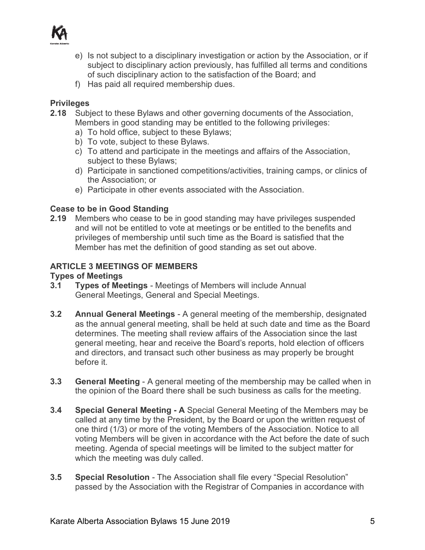

- e) Is not subject to a disciplinary investigation or action by the Association, or if subject to disciplinary action previously, has fulfilled all terms and conditions of such disciplinary action to the satisfaction of the Board; and
- f) Has paid all required membership dues.

# **Privileges**

- **2.18** Subject to these Bylaws and other governing documents of the Association, Members in good standing may be entitled to the following privileges:
	- a) To hold office, subject to these Bylaws;
	- b) To vote, subject to these Bylaws.
	- c) To attend and participate in the meetings and affairs of the Association, subject to these Bylaws;
	- d) Participate in sanctioned competitions/activities, training camps, or clinics of the Association; or
	- e) Participate in other events associated with the Association.

# **Cease to be in Good Standing**

**2.19** Members who cease to be in good standing may have privileges suspended and will not be entitled to vote at meetings or be entitled to the benefits and privileges of membership until such time as the Board is satisfied that the Member has met the definition of good standing as set out above.

# **ARTICLE 3 MEETINGS OF MEMBERS**

# **Types of Meetings**

- **3.1 Types of Meetings** Meetings of Members will include Annual General Meetings, General and Special Meetings.
- **3.2 Annual General Meetings** A general meeting of the membership, designated as the annual general meeting, shall be held at such date and time as the Board determines. The meeting shall review affairs of the Association since the last general meeting, hear and receive the Board's reports, hold election of officers and directors, and transact such other business as may properly be brought before it.
- **3.3 General Meeting** A general meeting of the membership may be called when in the opinion of the Board there shall be such business as calls for the meeting.
- **3.4 Special General Meeting - A** Special General Meeting of the Members may be called at any time by the President, by the Board or upon the written request of one third (1/3) or more of the voting Members of the Association. Notice to all voting Members will be given in accordance with the Act before the date of such meeting. Agenda of special meetings will be limited to the subject matter for which the meeting was duly called.
- **3.5 Special Resolution** The Association shall file every "Special Resolution" passed by the Association with the Registrar of Companies in accordance with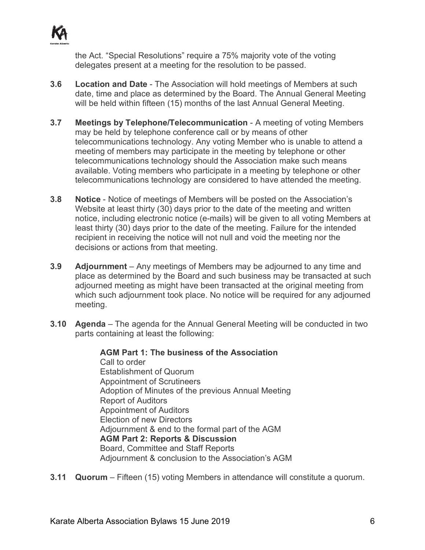

the Act. "Special Resolutions" require a 75% majority vote of the voting delegates present at a meeting for the resolution to be passed.

- **3.6 Location and Date** The Association will hold meetings of Members at such date, time and place as determined by the Board. The Annual General Meeting will be held within fifteen (15) months of the last Annual General Meeting.
- **3.7 Meetings by Telephone/Telecommunication** A meeting of voting Members may be held by telephone conference call or by means of other telecommunications technology. Any voting Member who is unable to attend a meeting of members may participate in the meeting by telephone or other telecommunications technology should the Association make such means available. Voting members who participate in a meeting by telephone or other telecommunications technology are considered to have attended the meeting.
- **3.8 Notice** Notice of meetings of Members will be posted on the Association's Website at least thirty (30) days prior to the date of the meeting and written notice, including electronic notice (e-mails) will be given to all voting Members at least thirty (30) days prior to the date of the meeting. Failure for the intended recipient in receiving the notice will not null and void the meeting nor the decisions or actions from that meeting.
- **3.9 Adjournment** Any meetings of Members may be adjourned to any time and place as determined by the Board and such business may be transacted at such adjourned meeting as might have been transacted at the original meeting from which such adjournment took place. No notice will be required for any adjourned meeting.
- **3.10 Agenda**  The agenda for the Annual General Meeting will be conducted in two parts containing at least the following:

**AGM Part 1: The business of the Association**  Call to order Establishment of Quorum Appointment of Scrutineers Adoption of Minutes of the previous Annual Meeting Report of Auditors Appointment of Auditors Election of new Directors Adjournment & end to the formal part of the AGM **AGM Part 2: Reports & Discussion** Board, Committee and Staff Reports Adjournment & conclusion to the Association's AGM

**3.11 Quorum** – Fifteen (15) voting Members in attendance will constitute a quorum.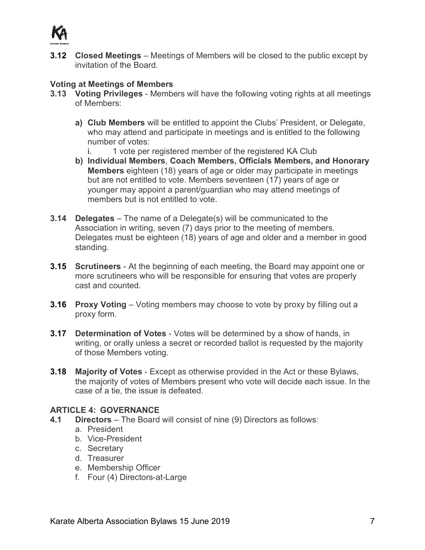

**3.12 Closed Meetings** – Meetings of Members will be closed to the public except by invitation of the Board.

# **Voting at Meetings of Members**

- **3.13 Voting Privileges** Members will have the following voting rights at all meetings of Members:
	- **a) Club Members** will be entitled to appoint the Clubs' President, or Delegate, who may attend and participate in meetings and is entitled to the following number of votes:
		- i. 1 vote per registered member of the registered KA Club
	- **b) Individual Members**, **Coach Members, Officials Members, and Honorary Members** eighteen (18) years of age or older may participate in meetings but are not entitled to vote. Members seventeen (17) years of age or younger may appoint a parent/guardian who may attend meetings of members but is not entitled to vote.
- **3.14 Delegates** The name of a Delegate(s) will be communicated to the Association in writing, seven (7) days prior to the meeting of members. Delegates must be eighteen (18) years of age and older and a member in good standing.
- **3.15 Scrutineers** At the beginning of each meeting, the Board may appoint one or more scrutineers who will be responsible for ensuring that votes are properly cast and counted.
- **3.16 Proxy Voting** Voting members may choose to vote by proxy by filling out a proxy form.
- **3.17 Determination of Votes** Votes will be determined by a show of hands, in writing, or orally unless a secret or recorded ballot is requested by the majority of those Members voting.
- **3.18 Majority of Votes** Except as otherwise provided in the Act or these Bylaws, the majority of votes of Members present who vote will decide each issue. In the case of a tie, the issue is defeated.

# **ARTICLE 4: GOVERNANCE**

- **4.1 Directors** The Board will consist of nine (9) Directors as follows:
	- a. President
	- b. Vice-President
	- c. Secretary
	- d. Treasurer
	- e. Membership Officer
	- f. Four (4) Directors-at-Large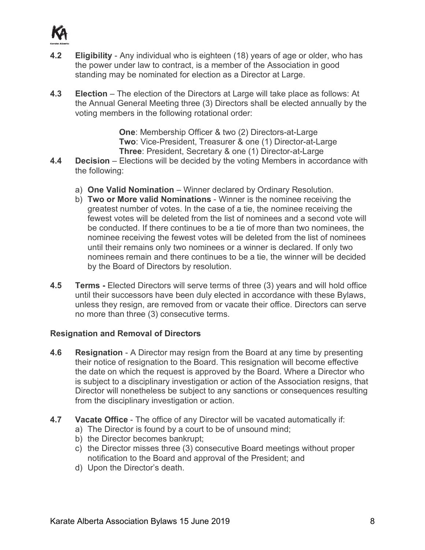

- **4.2 Eligibility** Any individual who is eighteen (18) years of age or older, who has the power under law to contract, is a member of the Association in good standing may be nominated for election as a Director at Large.
- **4.3 Election** The election of the Directors at Large will take place as follows: At the Annual General Meeting three (3) Directors shall be elected annually by the voting members in the following rotational order:

**One**: Membership Officer & two (2) Directors-at-Large **Two**: Vice-President, Treasurer & one (1) Director-at-Large **Three**: President, Secretary & one (1) Director-at-Large

- **4.4 Decision** Elections will be decided by the voting Members in accordance with the following:
	- a) **One Valid Nomination** Winner declared by Ordinary Resolution.
	- b) **Two or More valid Nominations** Winner is the nominee receiving the greatest number of votes. In the case of a tie, the nominee receiving the fewest votes will be deleted from the list of nominees and a second vote will be conducted. If there continues to be a tie of more than two nominees, the nominee receiving the fewest votes will be deleted from the list of nominees until their remains only two nominees or a winner is declared. If only two nominees remain and there continues to be a tie, the winner will be decided by the Board of Directors by resolution.
- **4.5 Terms -** Elected Directors will serve terms of three (3) years and will hold office until their successors have been duly elected in accordance with these Bylaws, unless they resign, are removed from or vacate their office. Directors can serve no more than three (3) consecutive terms.

# **Resignation and Removal of Directors**

- **4.6 Resignation** A Director may resign from the Board at any time by presenting their notice of resignation to the Board. This resignation will become effective the date on which the request is approved by the Board. Where a Director who is subject to a disciplinary investigation or action of the Association resigns, that Director will nonetheless be subject to any sanctions or consequences resulting from the disciplinary investigation or action.
- **4.7 Vacate Office** The office of any Director will be vacated automatically if:
	- a) The Director is found by a court to be of unsound mind;
	- b) the Director becomes bankrupt;
	- c) the Director misses three (3) consecutive Board meetings without proper notification to the Board and approval of the President; and
	- d) Upon the Director's death.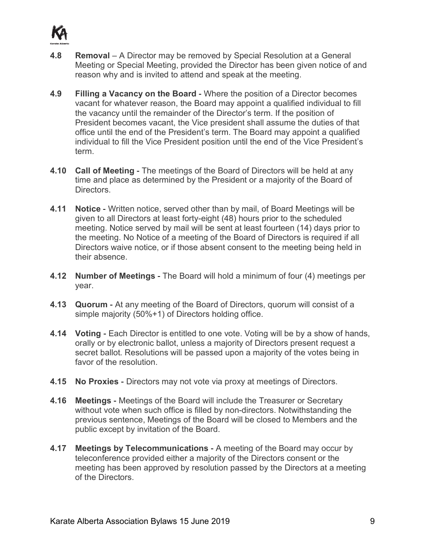

- **4.8 Removal** A Director may be removed by Special Resolution at a General Meeting or Special Meeting, provided the Director has been given notice of and reason why and is invited to attend and speak at the meeting.
- **4.9 Filling a Vacancy on the Board**  Where the position of a Director becomes vacant for whatever reason, the Board may appoint a qualified individual to fill the vacancy until the remainder of the Director's term. If the position of President becomes vacant, the Vice president shall assume the duties of that office until the end of the President's term. The Board may appoint a qualified individual to fill the Vice President position until the end of the Vice President's term.
- **4.10 Call of Meeting** The meetings of the Board of Directors will be held at any time and place as determined by the President or a majority of the Board of Directors.
- **4.11 Notice** Written notice, served other than by mail, of Board Meetings will be given to all Directors at least forty-eight (48) hours prior to the scheduled meeting. Notice served by mail will be sent at least fourteen (14) days prior to the meeting. No Notice of a meeting of the Board of Directors is required if all Directors waive notice, or if those absent consent to the meeting being held in their absence.
- **4.12 Number of Meetings** The Board will hold a minimum of four (4) meetings per year.
- **4.13 Quorum** At any meeting of the Board of Directors, quorum will consist of a simple majority (50%+1) of Directors holding office.
- **4.14 Voting** Each Director is entitled to one vote. Voting will be by a show of hands, orally or by electronic ballot, unless a majority of Directors present request a secret ballot. Resolutions will be passed upon a majority of the votes being in favor of the resolution.
- **4.15 No Proxies** Directors may not vote via proxy at meetings of Directors.
- **4.16 Meetings** Meetings of the Board will include the Treasurer or Secretary without vote when such office is filled by non-directors. Notwithstanding the previous sentence, Meetings of the Board will be closed to Members and the public except by invitation of the Board.
- **4.17 Meetings by Telecommunications** A meeting of the Board may occur by teleconference provided either a majority of the Directors consent or the meeting has been approved by resolution passed by the Directors at a meeting of the Directors.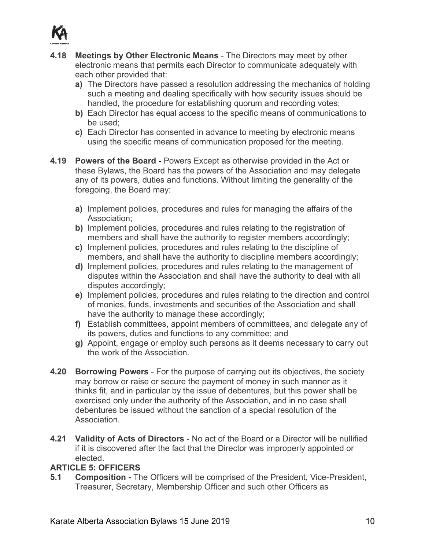

- **4.18 Meetings by Other Electronic Means** The Directors may meet by other electronic means that permits each Director to communicate adequately with each other provided that:
	- **a)** The Directors have passed a resolution addressing the mechanics of holding such a meeting and dealing specifically with how security issues should be handled, the procedure for establishing quorum and recording votes;
	- **b)** Each Director has equal access to the specific means of communications to be used;
	- **c)** Each Director has consented in advance to meeting by electronic means using the specific means of communication proposed for the meeting.
- **4.19 Powers of the Board**  Powers Except as otherwise provided in the Act or these Bylaws, the Board has the powers of the Association and may delegate any of its powers, duties and functions. Without limiting the generality of the foregoing, the Board may:
	- **a)** Implement policies, procedures and rules for managing the affairs of the Association;
	- **b)** Implement policies, procedures and rules relating to the registration of members and shall have the authority to register members accordingly;
	- **c)** Implement policies, procedures and rules relating to the discipline of members, and shall have the authority to discipline members accordingly;
	- **d)** Implement policies, procedures and rules relating to the management of disputes within the Association and shall have the authority to deal with all disputes accordingly;
	- **e)** Implement policies, procedures and rules relating to the direction and control of monies, funds, investments and securities of the Association and shall have the authority to manage these accordingly;
	- **f)** Establish committees, appoint members of committees, and delegate any of its powers, duties and functions to any committee; and
	- **g)** Appoint, engage or employ such persons as it deems necessary to carry out the work of the Association.
- **4.20 Borrowing Powers** For the purpose of carrying out its objectives, the society may borrow or raise or secure the payment of money in such manner as it thinks fit, and in particular by the issue of debentures, but this power shall be exercised only under the authority of the Association, and in no case shall debentures be issued without the sanction of a special resolution of the Association.
- **4.21 Validity of Acts of Directors** No act of the Board or a Director will be nullified if it is discovered after the fact that the Director was improperly appointed or elected.

# **ARTICLE 5: OFFICERS**

**5.1 Composition** - The Officers will be comprised of the President, Vice-President, Treasurer, Secretary, Membership Officer and such other Officers as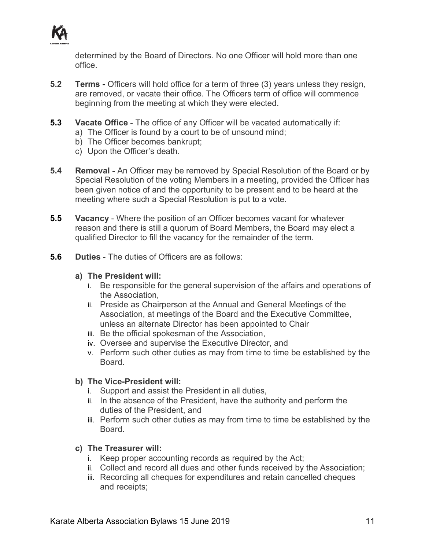

determined by the Board of Directors. No one Officer will hold more than one office.

- **5.2 Terms** Officers will hold office for a term of three (3) years unless they resign, are removed, or vacate their office. The Officers term of office will commence beginning from the meeting at which they were elected.
- **5.3 Vacate Office** The office of any Officer will be vacated automatically if:
	- a) The Officer is found by a court to be of unsound mind;
	- b) The Officer becomes bankrupt;
	- c) Upon the Officer's death.
- **5.4 Removal An Officer may be removed by Special Resolution of the Board or by** Special Resolution of the voting Members in a meeting, provided the Officer has been given notice of and the opportunity to be present and to be heard at the meeting where such a Special Resolution is put to a vote.
- **5.5 Vacancy** Where the position of an Officer becomes vacant for whatever reason and there is still a quorum of Board Members, the Board may elect a qualified Director to fill the vacancy for the remainder of the term.
- **5.6 Duties** The duties of Officers are as follows:

#### **a) The President will:**

- i. Be responsible for the general supervision of the affairs and operations of the Association,
- ii. Preside as Chairperson at the Annual and General Meetings of the Association, at meetings of the Board and the Executive Committee, unless an alternate Director has been appointed to Chair
- iii. Be the official spokesman of the Association,
- iv. Oversee and supervise the Executive Director, and
- v. Perform such other duties as may from time to time be established by the Board.

#### **b) The Vice-President will:**

- i. Support and assist the President in all duties,
- ii. In the absence of the President, have the authority and perform the duties of the President, and
- iii. Perform such other duties as may from time to time be established by the Board.

#### **c) The Treasurer will:**

- i. Keep proper accounting records as required by the Act;
- ii. Collect and record all dues and other funds received by the Association;
- iii. Recording all cheques for expenditures and retain cancelled cheques and receipts;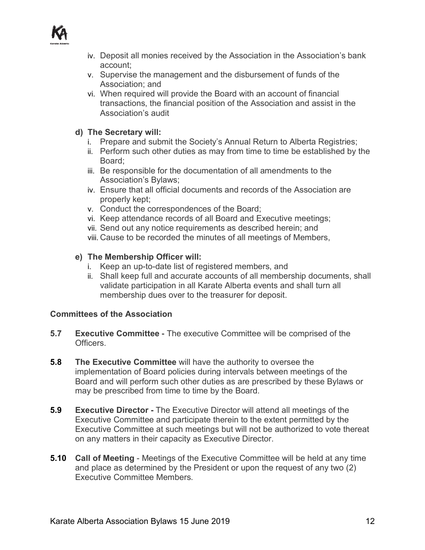

- iv. Deposit all monies received by the Association in the Association's bank account;
- v. Supervise the management and the disbursement of funds of the Association; and
- vi. When required will provide the Board with an account of financial transactions, the financial position of the Association and assist in the Association's audit

## **d) The Secretary will:**

- i. Prepare and submit the Society's Annual Return to Alberta Registries;
- ii. Perform such other duties as may from time to time be established by the Board;
- iii. Be responsible for the documentation of all amendments to the Association's Bylaws;
- iv. Ensure that all official documents and records of the Association are properly kept;
- v. Conduct the correspondences of the Board;
- vi. Keep attendance records of all Board and Executive meetings;
- vii. Send out any notice requirements as described herein; and
- viii. Cause to be recorded the minutes of all meetings of Members,

### **e) The Membership Officer will:**

- i. Keep an up-to-date list of registered members, and
- ii. Shall keep full and accurate accounts of all membership documents, shall validate participation in all Karate Alberta events and shall turn all membership dues over to the treasurer for deposit.

# **Committees of the Association**

- **5.7 Executive Committee** The executive Committee will be comprised of the Officers.
- **5.8 The Executive Committee** will have the authority to oversee the implementation of Board policies during intervals between meetings of the Board and will perform such other duties as are prescribed by these Bylaws or may be prescribed from time to time by the Board.
- **5.9 Executive Director -** The Executive Director will attend all meetings of the Executive Committee and participate therein to the extent permitted by the Executive Committee at such meetings but will not be authorized to vote thereat on any matters in their capacity as Executive Director.
- **5.10 Call of Meeting** Meetings of the Executive Committee will be held at any time and place as determined by the President or upon the request of any two (2) Executive Committee Members.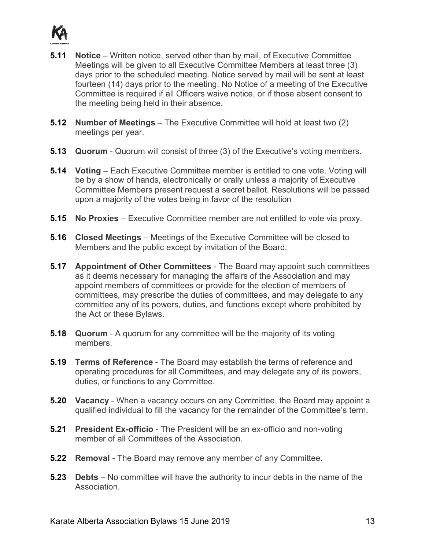

- **5.11 Notice** Written notice, served other than by mail, of Executive Committee Meetings will be given to all Executive Committee Members at least three (3) days prior to the scheduled meeting. Notice served by mail will be sent at least fourteen (14) days prior to the meeting. No Notice of a meeting of the Executive Committee is required if all Officers waive notice, or if those absent consent to the meeting being held in their absence.
- **5.12 Number of Meetings** The Executive Committee will hold at least two (2) meetings per year.
- **5.13 Quorum** Quorum will consist of three (3) of the Executive's voting members.
- **5.14 Voting** Each Executive Committee member is entitled to one vote. Voting will be by a show of hands, electronically or orally unless a majority of Executive Committee Members present request a secret ballot. Resolutions will be passed upon a majority of the votes being in favor of the resolution
- **5.15 No Proxies** Executive Committee member are not entitled to vote via proxy.
- **5.16 Closed Meetings** Meetings of the Executive Committee will be closed to Members and the public except by invitation of the Board.
- **5.17 Appointment of Other Committees** The Board may appoint such committees as it deems necessary for managing the affairs of the Association and may appoint members of committees or provide for the election of members of committees, may prescribe the duties of committees, and may delegate to any committee any of its powers, duties, and functions except where prohibited by the Act or these Bylaws.
- **5.18 Quorum** A quorum for any committee will be the majority of its voting members.
- **5.19 Terms of Reference** The Board may establish the terms of reference and operating procedures for all Committees, and may delegate any of its powers, duties, or functions to any Committee.
- **5.20 Vacancy** When a vacancy occurs on any Committee, the Board may appoint a qualified individual to fill the vacancy for the remainder of the Committee's term.
- **5.21 President Ex-officio** The President will be an ex-officio and non-voting member of all Committees of the Association.
- **5.22 Removal** The Board may remove any member of any Committee.
- **5.23 Debts** No committee will have the authority to incur debts in the name of the Association.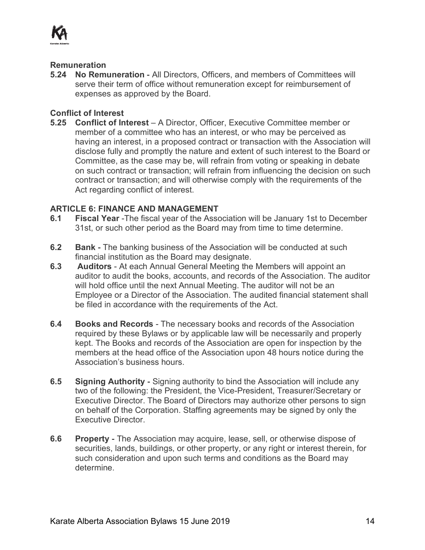

#### **Remuneration**

**5.24 No Remuneration** - All Directors, Officers, and members of Committees will serve their term of office without remuneration except for reimbursement of expenses as approved by the Board.

# **Conflict of Interest**

**5.25 Conflict of Interest** – A Director, Officer, Executive Committee member or member of a committee who has an interest, or who may be perceived as having an interest, in a proposed contract or transaction with the Association will disclose fully and promptly the nature and extent of such interest to the Board or Committee, as the case may be, will refrain from voting or speaking in debate on such contract or transaction; will refrain from influencing the decision on such contract or transaction; and will otherwise comply with the requirements of the Act regarding conflict of interest.

# **ARTICLE 6: FINANCE AND MANAGEMENT**

- **6.1 Fiscal Year** -The fiscal year of the Association will be January 1st to December 31st, or such other period as the Board may from time to time determine.
- **6.2 Bank**  The banking business of the Association will be conducted at such financial institution as the Board may designate.
- **6.3 Auditors** At each Annual General Meeting the Members will appoint an auditor to audit the books, accounts, and records of the Association. The auditor will hold office until the next Annual Meeting. The auditor will not be an Employee or a Director of the Association. The audited financial statement shall be filed in accordance with the requirements of the Act.
- **6.4 Books and Records** The necessary books and records of the Association required by these Bylaws or by applicable law will be necessarily and properly kept. The Books and records of the Association are open for inspection by the members at the head office of the Association upon 48 hours notice during the Association's business hours.
- **6.5 Signing Authority** Signing authority to bind the Association will include any two of the following: the President, the Vice-President, Treasurer/Secretary or Executive Director. The Board of Directors may authorize other persons to sign on behalf of the Corporation. Staffing agreements may be signed by only the Executive Director.
- **6.6 Property** The Association may acquire, lease, sell, or otherwise dispose of securities, lands, buildings, or other property, or any right or interest therein, for such consideration and upon such terms and conditions as the Board may determine.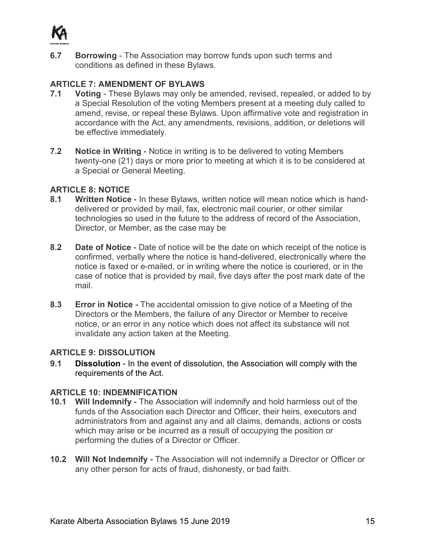

**6.7 Borrowing** - The Association may borrow funds upon such terms and conditions as defined in these Bylaws.

# **ARTICLE 7: AMENDMENT OF BYLAWS**

- **7.1 Voting**  These Bylaws may only be amended, revised, repealed, or added to by a Special Resolution of the voting Members present at a meeting duly called to amend, revise, or repeal these Bylaws. Upon affirmative vote and registration in accordance with the Act, any amendments, revisions, addition, or deletions will be effective immediately.
- **7.2 Notice in Writing** Notice in writing is to be delivered to voting Members twenty-one (21) days or more prior to meeting at which it is to be considered at a Special or General Meeting.

# **ARTICLE 8: NOTICE**

- **8.1 Written Notice** In these Bylaws, written notice will mean notice which is handdelivered or provided by mail, fax, electronic mail courier, or other similar technologies so used in the future to the address of record of the Association, Director, or Member, as the case may be
- **8.2 Date of Notice** Date of notice will be the date on which receipt of the notice is confirmed, verbally where the notice is hand-delivered, electronically where the notice is faxed or e-mailed, or in writing where the notice is couriered, or in the case of notice that is provided by mail, five days after the post mark date of the mail.
- **8.3 Error in Notice** The accidental omission to give notice of a Meeting of the Directors or the Members, the failure of any Director or Member to receive notice, or an error in any notice which does not affect its substance will not invalidate any action taken at the Meeting.

# **ARTICLE 9: DISSOLUTION**

**9.1 Dissolution** - In the event of dissolution, the Association will comply with the requirements of the Act.

# **ARTICLE 10: INDEMNIFICATION**

- **10.1 Will Indemnify** The Association will indemnify and hold harmless out of the funds of the Association each Director and Officer, their heirs, executors and administrators from and against any and all claims, demands, actions or costs which may arise or be incurred as a result of occupying the position or performing the duties of a Director or Officer.
- **10.2 Will Not Indemnify** The Association will not indemnify a Director or Officer or any other person for acts of fraud, dishonesty, or bad faith.